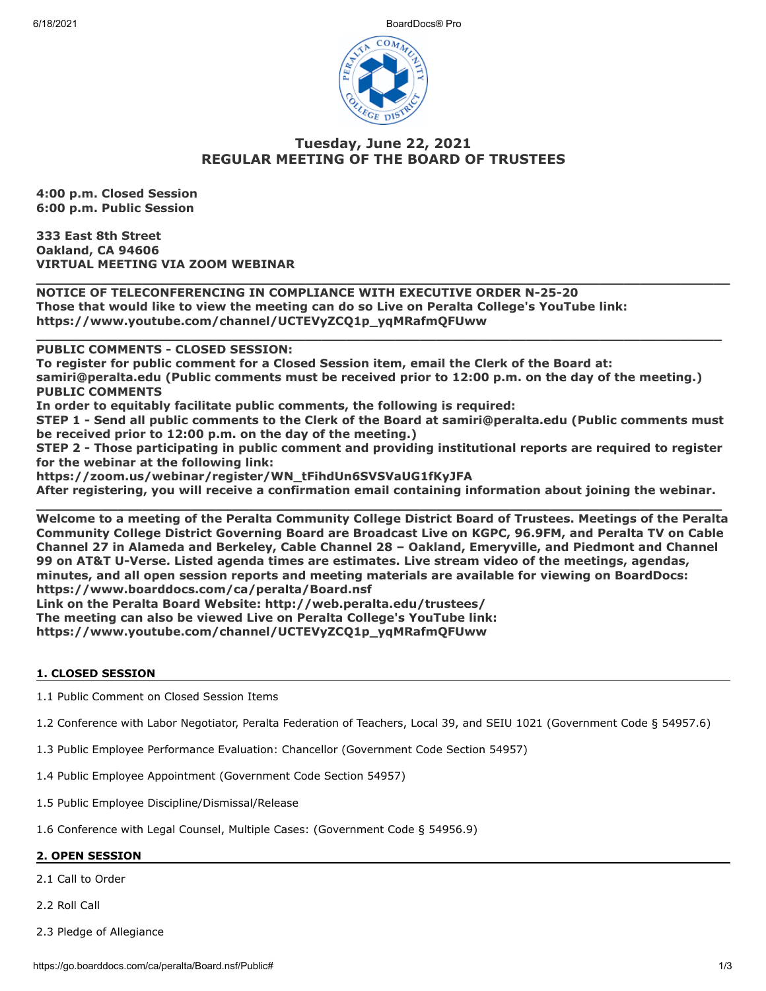6/18/2021 BoardDocs® Pro



# **Tuesday, June 22, 2021 REGULAR MEETING OF THE BOARD OF TRUSTEES**

**\_\_\_\_\_\_\_\_\_\_\_\_\_\_\_\_\_\_\_\_\_\_\_\_\_\_\_\_\_\_\_\_\_\_\_\_\_\_\_\_\_\_\_\_\_\_\_\_\_\_\_\_\_\_\_\_\_\_\_\_\_\_\_\_\_\_\_\_\_\_\_\_\_\_\_\_\_\_\_\_\_\_\_\_\_**

**\_\_\_\_\_\_\_\_\_\_\_\_\_\_\_\_\_\_\_\_\_\_\_\_\_\_\_\_\_\_\_\_\_\_\_\_\_\_\_\_\_\_\_\_\_\_\_\_\_\_\_\_\_\_\_\_\_\_\_\_\_\_\_\_\_\_\_\_\_\_\_\_\_\_\_\_\_\_\_\_\_\_\_\_**

**4:00 p.m. Closed Session 6:00 p.m. Public Session**

**333 East 8th Street Oakland, CA 94606 VIRTUAL MEETING VIA ZOOM WEBINAR**

**NOTICE OF TELECONFERENCING IN COMPLIANCE WITH EXECUTIVE ORDER N-25-20 Those that would like to view the meeting can do so Live on Peralta College's YouTube link: https://www.youtube.com/channel/UCTEVyZCQ1p\_yqMRafmQFUww** 

**PUBLIC COMMENTS - CLOSED SESSION:** 

**To register for public comment for a Closed Session item, email the Clerk of the Board at: samiri@peralta.edu (Public comments must be received prior to 12:00 p.m. on the day of the meeting.) PUBLIC COMMENTS**

**In order to equitably facilitate public comments, the following is required:**

**STEP 1 - Send all public comments to the Clerk of the Board at samiri@peralta.edu (Public comments must be received prior to 12:00 p.m. on the day of the meeting.)**

**STEP 2 - Those participating in public comment and providing institutional reports are required to register for the webinar at the following link:**

**https://zoom.us/webinar/register/WN\_tFihdUn6SVSVaUG1fKyJFA**

**After registering, you will receive a confirmation email containing information about joining the webinar. \_\_\_\_\_\_\_\_\_\_\_\_\_\_\_\_\_\_\_\_\_\_\_\_\_\_\_\_\_\_\_\_\_\_\_\_\_\_\_\_\_\_\_\_\_\_\_\_\_\_\_\_\_\_\_\_\_\_\_\_\_\_\_\_\_\_\_\_\_\_\_\_\_\_\_\_\_\_\_\_\_\_\_\_**

**Welcome to a meeting of the Peralta Community College District Board of Trustees. Meetings of the Peralta Community College District Governing Board are Broadcast Live on KGPC, 96.9FM, and Peralta TV on Cable Channel 27 in Alameda and Berkeley, Cable Channel 28 – Oakland, Emeryville, and Piedmont and Channel 99 on AT&T U-Verse. Listed agenda times are estimates. Live stream video of the meetings, agendas, minutes, and all open session reports and meeting materials are available for viewing on BoardDocs: https://www.boarddocs.com/ca/peralta/Board.nsf Link on the Peralta Board Website: http://web.peralta.edu/trustees/**

**The meeting can also be viewed Live on Peralta College's YouTube link:**

**https://www.youtube.com/channel/UCTEVyZCQ1p\_yqMRafmQFUww**

## **1. CLOSED SESSION**

1.1 Public Comment on Closed Session Items

- 1.2 Conference with Labor Negotiator, Peralta Federation of Teachers, Local 39, and SEIU 1021 (Government Code § 54957.6)
- 1.3 Public Employee Performance Evaluation: Chancellor (Government Code Section 54957)
- 1.4 Public Employee Appointment (Government Code Section 54957)
- 1.5 Public Employee Discipline/Dismissal/Release

1.6 Conference with Legal Counsel, Multiple Cases: (Government Code § 54956.9)

## **2. OPEN SESSION**

2.1 Call to Order

2.2 Roll Call

2.3 Pledge of Allegiance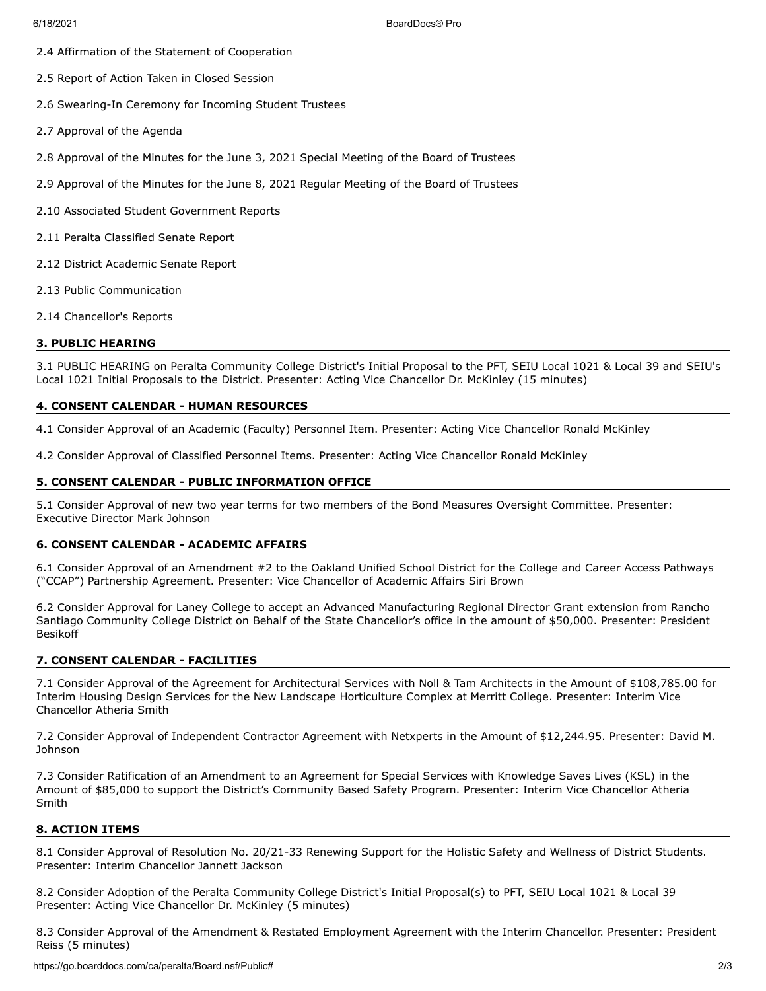6/18/2021 BoardDocs® Pro

- 2.4 Affirmation of the Statement of Cooperation
- 2.5 Report of Action Taken in Closed Session
- 2.6 Swearing-In Ceremony for Incoming Student Trustees
- 2.7 Approval of the Agenda
- 2.8 Approval of the Minutes for the June 3, 2021 Special Meeting of the Board of Trustees
- 2.9 Approval of the Minutes for the June 8, 2021 Regular Meeting of the Board of Trustees
- 2.10 Associated Student Government Reports
- 2.11 Peralta Classified Senate Report
- 2.12 District Academic Senate Report
- 2.13 Public Communication
- 2.14 Chancellor's Reports

## **3. PUBLIC HEARING**

3.1 PUBLIC HEARING on Peralta Community College District's Initial Proposal to the PFT, SEIU Local 1021 & Local 39 and SEIU's Local 1021 Initial Proposals to the District. Presenter: Acting Vice Chancellor Dr. McKinley (15 minutes)

## **4. CONSENT CALENDAR - HUMAN RESOURCES**

4.1 Consider Approval of an Academic (Faculty) Personnel Item. Presenter: Acting Vice Chancellor Ronald McKinley

4.2 Consider Approval of Classified Personnel Items. Presenter: Acting Vice Chancellor Ronald McKinley

## **5. CONSENT CALENDAR - PUBLIC INFORMATION OFFICE**

5.1 Consider Approval of new two year terms for two members of the Bond Measures Oversight Committee. Presenter: Executive Director Mark Johnson

#### **6. CONSENT CALENDAR - ACADEMIC AFFAIRS**

6.1 Consider Approval of an Amendment #2 to the Oakland Unified School District for the College and Career Access Pathways ("CCAP") Partnership Agreement. Presenter: Vice Chancellor of Academic Affairs Siri Brown

6.2 Consider Approval for Laney College to accept an Advanced Manufacturing Regional Director Grant extension from Rancho Santiago Community College District on Behalf of the State Chancellor's office in the amount of \$50,000. Presenter: President Besikoff

## **7. CONSENT CALENDAR - FACILITIES**

7.1 Consider Approval of the Agreement for Architectural Services with Noll & Tam Architects in the Amount of \$108,785.00 for Interim Housing Design Services for the New Landscape Horticulture Complex at Merritt College. Presenter: Interim Vice Chancellor Atheria Smith

7.2 Consider Approval of Independent Contractor Agreement with Netxperts in the Amount of \$12,244.95. Presenter: David M. Johnson

7.3 Consider Ratification of an Amendment to an Agreement for Special Services with Knowledge Saves Lives (KSL) in the Amount of \$85,000 to support the District's Community Based Safety Program. Presenter: Interim Vice Chancellor Atheria Smith

## **8. ACTION ITEMS**

8.1 Consider Approval of Resolution No. 20/21-33 Renewing Support for the Holistic Safety and Wellness of District Students. Presenter: Interim Chancellor Jannett Jackson

8.2 Consider Adoption of the Peralta Community College District's Initial Proposal(s) to PFT, SEIU Local 1021 & Local 39 Presenter: Acting Vice Chancellor Dr. McKinley (5 minutes)

8.3 Consider Approval of the Amendment & Restated Employment Agreement with the Interim Chancellor. Presenter: President Reiss (5 minutes)